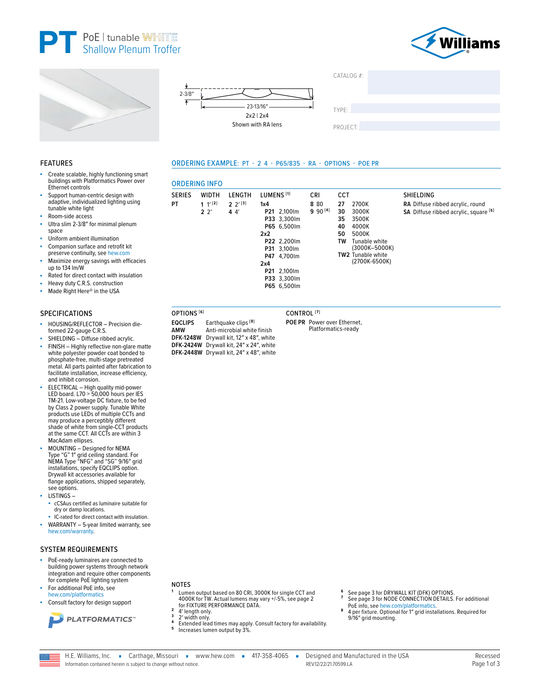







LENGTH

 $2 \frac{2^{13}}{3}$ 

 $44'$ 

**ORDERING INFO** 

**WIDTH** 

 $1 '$ <sup>[2]</sup>

 $2<sup>2</sup>$ 

**SERIES** 

**PT** 

ORDERING EXAMPLE: PT - 2 4 - P65/835 - RA - OPTIONS - POE PR

LUMENS<sup>[1]</sup>

P21 2,100lm

P33 3,300lm

P65 6,500lm

P22 2,200lm

P31 3,100lm

P47 4,700lm

P21 2,100lm

P33 3,300lm

 $1x4$ 

 $2x2$ 

 $2x4$ 



SHIELDING

RA Diffuse ribbed acrylic, round

SA Diffuse ribbed acrylic, square [5]

#### **FEATURES**

- Create scalable, highly functioning smart buildings with Platformatics Power over Ethernet controls
- Support human-centric design with adaptive, individualized lighting using tunable white light
- Room-side access
- Ultra slim 2-3/8" for minimal plenum × space
- Uniform ambient illumination
- Companion surface and retrofit kit í. preserve continuity, see hew.com
- Maximize energy savings with efficacies up to 134 lm/W
- Rated for direct contact with insulation
- Heavy duty C.R.S. construction
- Made Right Here® in the USA

#### **SPECIFICATIONS**

- HOUSING/REFLECTOR Precision dieformed 22-gauge C.R.S.
- SHIELDING Diffuse ribbed acrylic.
- FINISH Highly reflective non-glare matte white polyester powder coat bonded to phosphate-free, multi-stage pretreated metal. All parts painted after fabrication to facilitate installation, increase efficiency, and inhibit corrosion.
- ELECTRICAL High quality mid-power<br>LED board. L70 > 50,000 hours per IES<br>TM-21. Low-voltage DC fixture, to be fed<br>by Class 2 power supply. Tunable White products use LEDs of multiple CCTs and may produce a perceptibly different shade of white from single-CCT products at the same CCT. All CCTs are within 3 MacAdam ellipses.
- MOUNTING Designed for NEMA Type "G" 1" grid ceiling standard. For<br>NEMA Type "NFG" and "SG" 9/16" grid installations, specify EQCLIPS option. Drywall kit accessories available for flange applications, shipped separately, see options.
- LISTINGS-
- cCSAus certified as luminaire suitable for dry or damp locations.
- IC-rated for direct contact with insulation.
- WARRANTY 5-year limited warranty, see hew com/warranty

## **SYSTEM REQUIREMENTS**

- PoE-ready luminaires are connected to building power systems through network integration and require other components for complete PoE lighting system
- For additional PoE info, see hew.com/platformatics
- Consult factory for design support



#### **NOTES**

- Lumen output based on 80 CRI, 3000K for single CCT and 4000K for TW. Actual lumens may vary +/-5%, see page 2 for FIXTURE PERFORMANCE DATA.
- 4' length only.<br>2' width only.  $\mathbf 3$
- 
- Extended lead times may apply. Consult factory for availability. 5 Increases lumen output by 3%
- 
- See page 3 for DRYWALL KIT (DFK) OPTIONS.<br>See page 3 for NODE CONNECTION DETAILS. For additional<br>PoE info, see hew.com/platformatics.
- $\overline{\mathbf{a}}$ 4 per fixture. Optional for 1" grid installations. Required for 9/16" grid mounting.
- Anti-microbial white finish DFK-1248W Drywall kit, 12" x 48", white
- 

**CCT** 

2700K

3000K

3500K

4000K

5000K

TW2 Tunable white

Tunable white<br>(3000K-5000K)

(2700K-6500K)

27

30

35

40

50

TW

**CRI** 

8 80

 $990^{[4]}$ 

- CONTROL<sup>[7]</sup>
	- POE PR Power over Ethernet,
	- Platformatics-ready
- P65 6,500lm OPTIONS<sup>[6]</sup> **EQCLIPS** Earthquake clips [8] AMW

DFK-2424W Drywall kit, 24" x 24", white

DFK-2448W Drywall kit, 24" x 48", white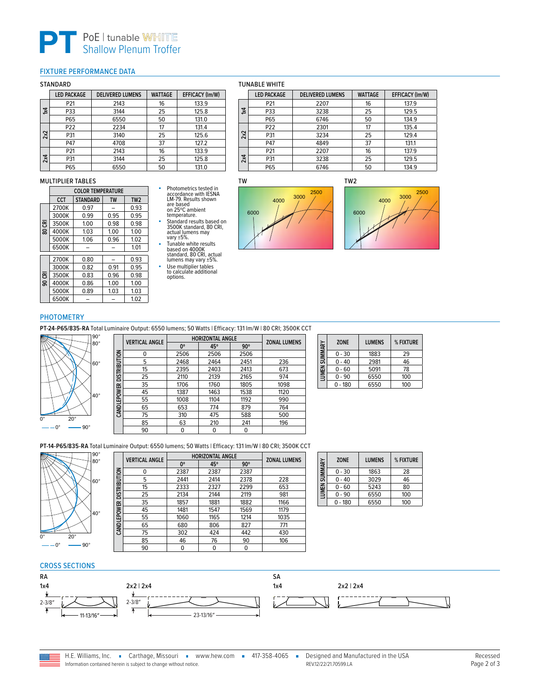# **PT** PoE | tunable WHITE<br>
Shallow Plenum Troffer

# <span id="page-1-0"></span>FIXTURE PERFORMANCE DATA

#### STANDARD

|     | <b>LED PACKAGE</b> | <b>DELIVERED LUMENS</b> | <b>WATTAGE</b> | <b>EFFICACY (Im/W)</b> |
|-----|--------------------|-------------------------|----------------|------------------------|
|     | P21                | 2143                    | 16             | 133.9                  |
| 1x4 | P33                | 3144                    | 25             | 125.8                  |
|     | P65                | 6550                    | 50             | 131.0                  |
|     | P22                | 2234                    | 17             | 131.4                  |
| 2x2 | P31                | 3140                    | 25             | 125.6                  |
|     | P47                | 4708                    | 37             | 127.2                  |
| 2x4 | P21                | 2143                    | 16             | 133.9                  |
|     | P31                | 3144                    | 25             | 125.8                  |
|     | P65                | 6550                    | 50             | 131.0                  |

#### MULTIPLIER TABLES

|     |            | <b>COLOR TEMPERATURE</b> |           |                 |
|-----|------------|--------------------------|-----------|-----------------|
|     | <b>CCT</b> | <b>STANDARD</b>          | <b>TW</b> | TW <sub>2</sub> |
|     | 2700K      | 0.97                     |           | 0.93            |
| 룡   | 3000K      | 0.99                     | 0.95      | 0.95            |
|     | 3500K      | 1.00                     | 0.98      | 0.98            |
| ខ្ល | 4000K      | 1.03                     | 1.00      | 1.00            |
|     | 5000K      | 1.06                     | 0.96      | 1.02            |
|     | 6500K      |                          |           | 1.01            |
|     | 2700K      | 0.80                     |           | 0.93            |
|     | 3000K      | 0.82                     | 0.91      | 0.95            |
| 룡   | 3500K      | 0.83                     | 0.96      | 0.98            |
| g   | 4000K      | 0.86                     | 1.00      | 1.00            |
|     | 5000K      | 0.89                     | 1.03      | 1.03            |
|     | 6500K      |                          |           | 1.02            |

## TUNABLE WHITE

|     | <b>LED PACKAGE</b> | <b>DELIVERED LUMENS</b> | <b>WATTAGE</b> | EFFICACY (Im/W) |
|-----|--------------------|-------------------------|----------------|-----------------|
|     | P21                | 2207                    | 16             | 137.9           |
| 1x4 | P33                | 3238                    | 25             | 129.5           |
|     | P65                | 6746                    | 50             | 134.9           |
|     | P <sub>22</sub>    | 2301                    | 17             | 135.4           |
| 2x2 | P31                | 3234                    | 25             | 129.4           |
|     | P47                | 4849                    | 37             | 131.1           |
|     | P21                | 2207                    | 16             | 137.9           |
| 2x4 | P31                | 3238                    | 25             | 129.5           |
|     | P65                | 6746                    | 50             | 134.9           |

TW2





## PHOTOMETRY

**PT-24-P65/835-RA** Total Luminaire Output: 6550 lumens; 50 Watts | Efficacy: 131 lm/W | 80 CRI; 3500K CCT

■ Photometrics tested in<br>
accordance with IESNA<br>
are based<br>
on 25°C ambient<br>
temperature.<br>
Standard results based on<br>
3500K standard, 80 CRI,<br>
actual lumens may<br>
vary ±5%.

■ Tunable white results<br>
based on 4000K<br>
standard, 80 CRI, actual<br>
lumens may vary ±5%.<br>■ Use multiplier tables<br>
to calculate additional<br>
options.



|                     | <b>VERTICAL ANGLE</b> | <b>HORIZONTAL ANGLE</b> | <b>ZONAL LUMENS</b> |            |      |
|---------------------|-----------------------|-------------------------|---------------------|------------|------|
|                     |                       | $0^{\circ}$             | 45°                 | $90^\circ$ |      |
|                     | 0                     | 2506                    | 2506                | 2506       |      |
|                     | 5                     | 2468                    | 2464                | 2451       | 236  |
| <b>DISTRIBUTION</b> | 15                    | 2395                    | 2403                | 2413       | 673  |
|                     | 25                    | 2110                    | 2139                | 2165       | 974  |
|                     | 35                    | 1706                    | 1760                | 1805       | 1098 |
|                     | 45                    | 1387                    | 1463                | 1538       | 1120 |
| CANDLEPOWER         | 55                    | 1008                    | 1104                | 1192       | 990  |
|                     | 65                    | 653                     | 774                 | 879        | 764  |
|                     | 75                    | 310                     | 475                 | 588        | 500  |
|                     | 85                    | 63                      | 210                 | 241        | 196  |
|                     | 90                    | 0                       | 0                   | 0          |      |

| <b>LUMEN SUMMARY</b> | <b>ZONE</b> | <b>LUMENS</b> | % FIXTURE |
|----------------------|-------------|---------------|-----------|
|                      | $0 - 30$    | 1883          | 29        |
|                      | 0 - 40      | 2981          | 46        |
|                      | $0 - 60$    | 5091          | 78        |
|                      | $0 - 90$    | 6550          | 100       |
|                      | $0 - 180$   | 6550          | 100       |

**PT-14-P65/835-RA** Total Luminaire Output: 6550 lumens; 50 Watts | Efficacy: 131 lm/W | 80 CRI; 3500K CCT



|                     | <b>VERTICAL ANGLE</b> | <b>HORIZONTAL ANGLE</b> | <b>ZONAL LUMENS</b> |            |      |
|---------------------|-----------------------|-------------------------|---------------------|------------|------|
|                     |                       | 0°                      | 45°                 | $90^\circ$ |      |
|                     | $\Omega$              | 2387                    | 2387                | 2387       |      |
| <b>DISTRIBUTION</b> | 5                     | 2441                    | 2414                | 2378       | 228  |
|                     | 15                    | 2333                    | 2327                | 2299       | 653  |
|                     | 25                    | 2134                    | 2144                | 2119       | 981  |
|                     | 35                    | 1857                    | 1881                | 1882       | 1166 |
|                     | 45                    | 1481                    | 1547                | 1569       | 1179 |
| CANDLEPOWER         | 55                    | 1060                    | 1165                | 1214       | 1035 |
|                     | 65                    | 680                     | 806                 | 827        | 771  |
|                     | 75                    | 302                     | 424                 | 442        | 430  |
|                     | 85                    | 46                      | 76                  | 90         | 106  |
|                     | 90                    | 0                       | 0                   | 0          |      |

| SUMMARY | <b>ZONE</b> | <b>LUMENS</b> | % FIXTURE |  |
|---------|-------------|---------------|-----------|--|
|         | $0 - 30$    | 1863          | 28        |  |
|         | 0 - 40      | 3029          | 46        |  |
| LUMEN 9 | $0 - 60$    | 5243          | 80        |  |
|         | $0 - 90$    | 6550          | 100       |  |
|         | $-180$      | 6550          | 100       |  |

#### CROSS SECTIONS